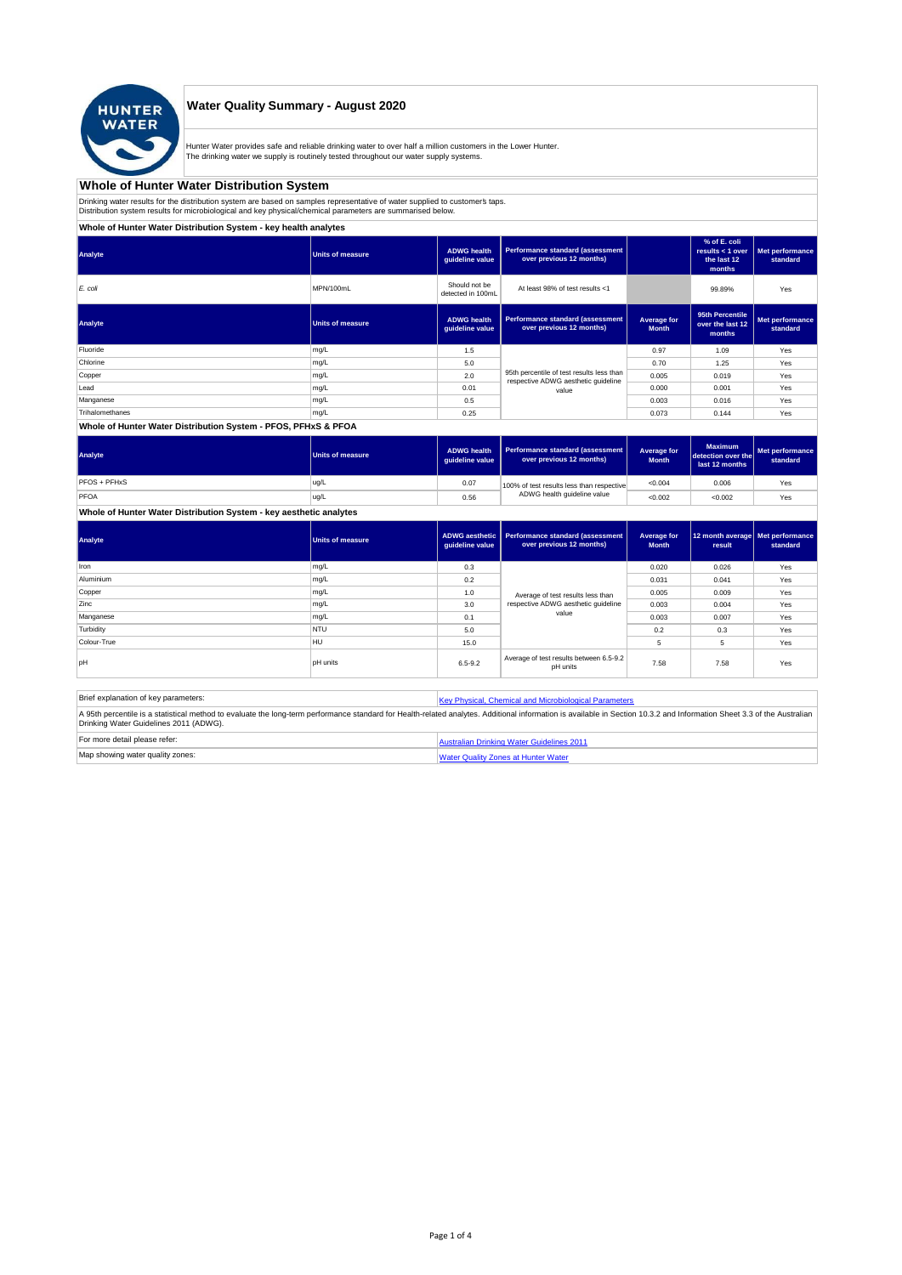

#### **Water Quality Summary - August 2020**

Hunter Water provides safe and reliable drinking water to over half a million customers in the Lower Hunter. The drinking water we supply is routinely tested throughout our water supply systems.

# **Whole of Hunter Water Distribution System**

Drinking water results for the distribution system are based on samples representative of water supplied to customer' taps.<br>Distribution system results for microbiological and key physical/chemical parameters are summarise

## **Whole of Hunter Water Distribution System - key health analytes**

| Analyte         | <b>Units of measure</b> | <b>ADWG</b> health<br>guideline value | Performance standard (assessment<br>over previous 12 months)        |                             | % of E. coli<br>results $<$ 1 over<br>the last 12<br>months | Met performance<br>standard |
|-----------------|-------------------------|---------------------------------------|---------------------------------------------------------------------|-----------------------------|-------------------------------------------------------------|-----------------------------|
| E. coli         | MPN/100mL               | Should not be<br>detected in 100mL    | At least 98% of test results <1                                     |                             | 99.89%                                                      | Yes                         |
| Analyte         | Units of measure        | <b>ADWG</b> health<br>guideline value | <b>Performance standard (assessment</b><br>over previous 12 months) | Average for<br><b>Month</b> | 95th Percentile<br>over the last 12<br>months               | Met performance<br>standard |
| Fluoride        | mg/L                    | 1.5                                   |                                                                     | 0.97                        | 1.09                                                        | Yes                         |
| Chlorine        | mg/L                    | 5.0                                   |                                                                     | 0.70                        | 1.25                                                        | Yes                         |
| Copper          | mg/L                    | 2.0                                   | 95th percentile of test results less than                           | 0.005                       | 0.019                                                       | Yes                         |
| Lead            | mg/L                    | 0.01                                  | respective ADWG aesthetic quideline<br>value                        | 0.000                       | 0.001                                                       | Yes                         |
| Manganese       | mg/L                    | 0.5                                   |                                                                     | 0.003                       | 0.016                                                       | Yes                         |
| Trihalomethanes | mg/L                    | 0.25                                  |                                                                     | 0.073                       | 0.144                                                       | Yes                         |
|                 |                         |                                       |                                                                     |                             |                                                             |                             |

#### **Whole of Hunter Water Distribution System - PFOS, PFHxS & PFOA**

| Analyte      | Units of measure | <b>ADWG health</b><br>quideline value | Performance standard (assessment<br>over previous 12 months) | Average for<br><b>Month</b> | <b>Maximum</b><br>detection over the<br>last 12 months | Met performance<br>standard |
|--------------|------------------|---------------------------------------|--------------------------------------------------------------|-----------------------------|--------------------------------------------------------|-----------------------------|
| PFOS + PFHxS | ug/L             | 0.07                                  | 100% of test results less than respective                    | < 0.004                     | 0.006                                                  | Yes                         |
| PFOA         | ug/L             | 0.56                                  | ADWG health guideline value                                  | < 0.002                     | < 0.002                                                | Yes                         |

## **Whole of Hunter Water Distribution System - key aesthetic analytes**

| Analyte     | <b>Units of measure</b> | guideline value | ADWG aesthetic   Performance standard (assessment<br>over previous 12 months) | Average for<br><b>Month</b> | 12 month average   Met performance<br>result | standard |
|-------------|-------------------------|-----------------|-------------------------------------------------------------------------------|-----------------------------|----------------------------------------------|----------|
| Iron        | mg/L                    | 0.3             |                                                                               | 0.020                       | 0.026                                        | Yes      |
| Aluminium   | mg/L                    | 0.2             |                                                                               | 0.031                       | 0.041                                        | Yes      |
| Copper      | mg/L                    | 1.0             | Average of test results less than                                             | 0.005                       | 0.009                                        | Yes      |
| Zinc        | mg/L                    | 3.0             | respective ADWG aesthetic quideline                                           | 0.003                       | 0.004                                        | Yes      |
| Manganese   | mg/L                    | 0.1             | value                                                                         | 0.003                       | 0.007                                        | Yes      |
| Turbidity   | <b>NTU</b>              | 5.0             |                                                                               | 0.2                         | 0.3                                          | Yes      |
| Colour-True | <b>HU</b>               | 15.0            |                                                                               | 5                           | 5                                            | Yes      |
| pH          | <b>pH</b> units         | $6.5 - 9.2$     | Average of test results between 6.5-9.2<br>pH units                           | 7.58                        | 7.58                                         | Yes      |

| Brief explanation of key parameters:   | Key Physical, Chemical and Microbiological Parameters                                                                                                                                                                   |
|----------------------------------------|-------------------------------------------------------------------------------------------------------------------------------------------------------------------------------------------------------------------------|
| Drinking Water Guidelines 2011 (ADWG). | A 95th percentile is a statistical method to evaluate the long-term performance standard for Health-related analytes. Additional information is available in Section 10.3.2 and Information Sheet 3.3 of the Australian |
| For more detail please refer:          | Australian Drinking Water Guidelines 2011                                                                                                                                                                               |
| Map showing water quality zones:       | <b>Water Quality Zones at Hunter Water</b>                                                                                                                                                                              |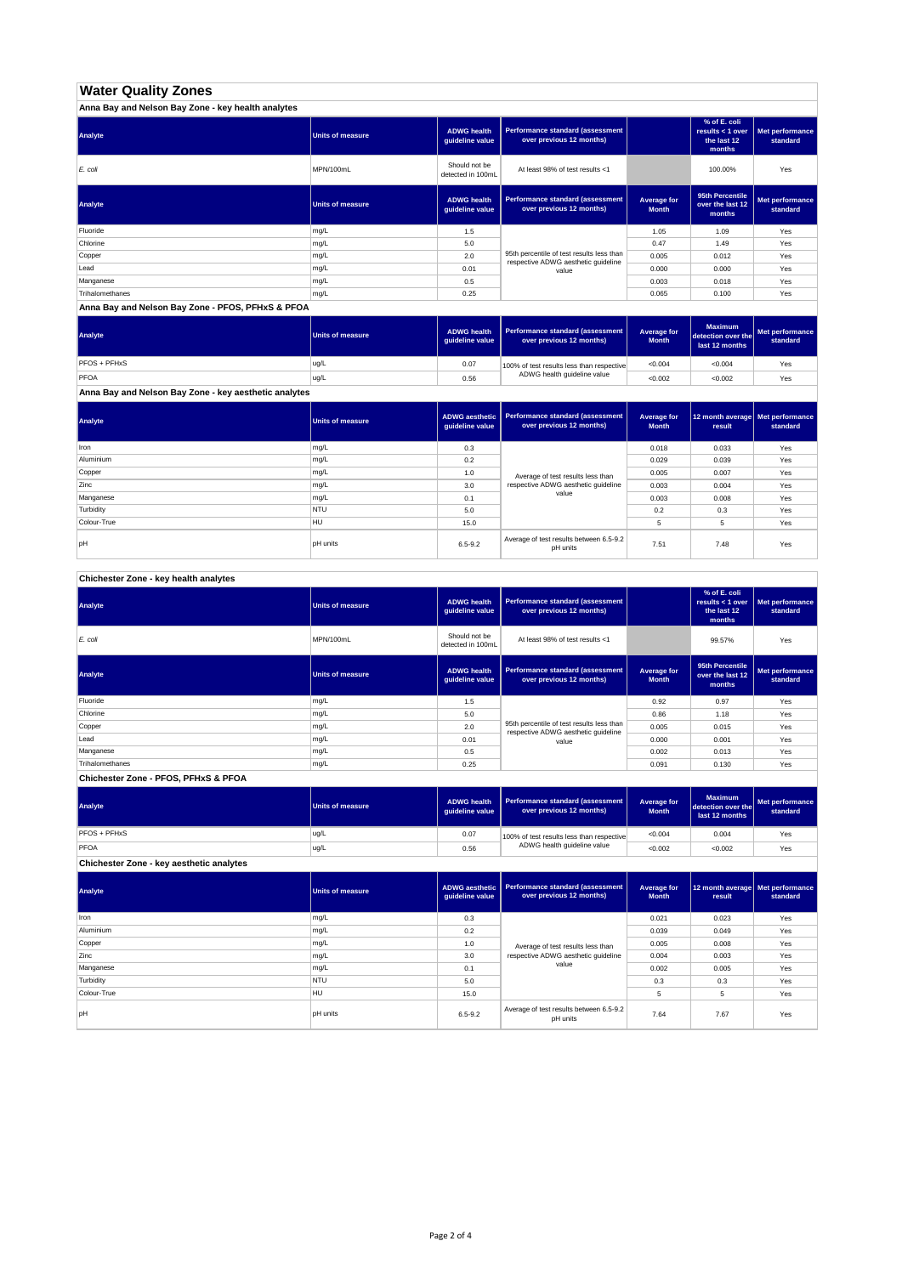# **Water Quality Zones**

| Anna Bay and Nelson Bay Zone - key health analytes |                         |                                       |                                                                                  |                             |                                                           |                             |
|----------------------------------------------------|-------------------------|---------------------------------------|----------------------------------------------------------------------------------|-----------------------------|-----------------------------------------------------------|-----------------------------|
| Analyte                                            | <b>Units of measure</b> | <b>ADWG health</b><br>guideline value | Performance standard (assessment<br>over previous 12 months)                     |                             | % of E. coli<br>results < 1 over<br>the last 12<br>months | Met performance<br>standard |
| E. coli                                            | MPN/100mL               | Should not be<br>detected in 100mL    | At least 98% of test results <1                                                  |                             | 100.00%                                                   | Yes                         |
| Analyte                                            | <b>Units of measure</b> | <b>ADWG health</b><br>guideline value | Performance standard (assessment<br>over previous 12 months)                     | Average for<br><b>Month</b> | 95th Percentile<br>over the last 12<br>months             | Met performance<br>standard |
| Fluoride                                           | mg/L                    | 1.5                                   |                                                                                  | 1.05                        | 1.09                                                      | Yes                         |
| Chlorine                                           | mg/L                    | 5.0                                   |                                                                                  | 0.47                        | 1.49                                                      | Yes                         |
| Copper                                             | mg/L                    | 2.0                                   | 95th percentile of test results less than<br>respective ADWG aesthetic quideline | 0.005                       | 0.012                                                     | Yes                         |
| Lead                                               | mg/L                    | 0.01                                  | value                                                                            | 0.000                       | 0.000                                                     | Yes                         |
| Manganese                                          | mg/L                    | 0.5                                   |                                                                                  | 0.003                       | 0.018                                                     | Yes                         |
| Trihalomethanes                                    | mg/L                    | 0.25                                  |                                                                                  | 0.065                       | 0.100                                                     | Yes                         |

**Anna Bay and Nelson Bay Zone - PFOS, PFHxS & PFOA**

| Analyte      | Units of measure | <b>ADWG health</b><br>quideline value | Performance standard (assessment<br>over previous 12 months) | <b>Average for</b><br><b>Month</b> | <b>Maximum</b><br>detection over the<br>last 12 months | Met performance<br>standard |
|--------------|------------------|---------------------------------------|--------------------------------------------------------------|------------------------------------|--------------------------------------------------------|-----------------------------|
| PFOS + PFHxS | ug/L             | 0.07                                  | 100% of test results less than respective                    | < 0.004                            | < 0.004                                                | Yes                         |
| PFOA         | ug/L             | 0.56                                  | ADWG health guideline value                                  | < 0.002                            | < 0.002                                                | Yes                         |

**Anna Bay and Nelson Bay Zone - key aesthetic analytes**

| Analyte     | Units of measure | guideline value | ADWG aesthetic   Performance standard (assessment<br>over previous 12 months) | Average for<br><b>Month</b> | 12 month average   Met performance<br>result | standard |
|-------------|------------------|-----------------|-------------------------------------------------------------------------------|-----------------------------|----------------------------------------------|----------|
| Iron        | mg/L             | 0.3             |                                                                               | 0.018                       | 0.033                                        | Yes      |
| Aluminium   | mg/L             | 0.2             |                                                                               | 0.029                       | 0.039                                        | Yes      |
| Copper      | mg/L             | 1.0             |                                                                               | 0.005                       | 0.007                                        | Yes      |
| Zinc        | mg/L             | 3.0             | Average of test results less than<br>respective ADWG aesthetic quideline      | 0.003                       | 0.004                                        | Yes      |
| Manganese   | mg/L             | 0.1             | value                                                                         | 0.003                       | 0.008                                        | Yes      |
| Turbidity   | <b>NTU</b>       | 5.0             |                                                                               | 0.2                         | 0.3                                          | Yes      |
| Colour-True | <b>HU</b>        | 15.0            |                                                                               |                             | 5                                            | Yes      |
| pH          | <b>pH</b> units  | $6.5 - 9.2$     | Average of test results between 6.5-9.2<br>pH units                           | 7.51                        | 7.48                                         | Yes      |

**Chichester Zone - key health analytes**

| Analyte         | <b>Units of measure</b> | <b>ADWG health</b><br>guideline value | Performance standard (assessment<br>over previous 12 months)                     |                             | % of E. coli<br>results $<$ 1 over<br>the last 12<br>months | Met performance<br>standard |
|-----------------|-------------------------|---------------------------------------|----------------------------------------------------------------------------------|-----------------------------|-------------------------------------------------------------|-----------------------------|
| E. coli         | MPN/100mL               | Should not be<br>detected in 100mL    | At least 98% of test results <1                                                  |                             | 99.57%                                                      | Yes                         |
| Analyte         | <b>Units of measure</b> | <b>ADWG health</b><br>guideline value | Performance standard (assessment<br>over previous 12 months)                     | Average for<br><b>Month</b> | 95th Percentile<br>over the last 12<br>months               | Met performance<br>standard |
| Fluoride        | mg/L                    | 1.5                                   |                                                                                  | 0.92                        | 0.97                                                        | Yes                         |
| Chlorine        | mg/L                    | 5.0                                   |                                                                                  | 0.86                        | 1.18                                                        | Yes                         |
| Copper          | mg/L                    | 2.0                                   | 95th percentile of test results less than<br>respective ADWG aesthetic quideline | 0.005                       | 0.015                                                       | Yes                         |
| Lead            | mg/L                    | 0.01                                  | value                                                                            | 0.000                       | 0.001                                                       | Yes                         |
| Manganese       | mg/L                    | 0.5                                   |                                                                                  | 0.002                       | 0.013                                                       | Yes                         |
| Trihalomethanes | mg/L                    | 0.25                                  |                                                                                  | 0.091                       | 0.130                                                       | Yes                         |

**Chichester Zone - PFOS, PFHxS & PFOA**

| Analyte      | Units of measure | ADWG health<br>guideline value | Performance standard (assessment<br>over previous 12 months) | Average for<br><b>Month</b> | <b>Maximum</b><br>detection over the<br>last 12 months | Met performance<br>standard |
|--------------|------------------|--------------------------------|--------------------------------------------------------------|-----------------------------|--------------------------------------------------------|-----------------------------|
| PFOS + PFHxS | ug/L             | 0.07                           | 100% of test results less than respective                    | < 0.004                     | 0.004                                                  | Yes                         |
| PFOA         | ug/L             | 0.56                           | ADWG health guideline value                                  | < 0.002                     | < 0.002                                                | Yes                         |

**Chichester Zone - key aesthetic analytes**

| Analyte     | <b>Units of measure</b> | guideline value | ADWG aesthetic   Performance standard (assessment<br>over previous 12 months) | Average for<br><b>Month</b> | 12 month average   Met performance<br>result | standard |
|-------------|-------------------------|-----------------|-------------------------------------------------------------------------------|-----------------------------|----------------------------------------------|----------|
| Iron        | mg/L                    | 0.3             |                                                                               | 0.021                       | 0.023                                        | Yes      |
| Aluminium   | mg/L                    | 0.2             |                                                                               | 0.039                       | 0.049                                        | Yes      |
| Copper      | mg/L                    | 1.0             | Average of test results less than                                             | 0.005                       | 0.008                                        | Yes      |
| Zinc        | mg/L                    | 3.0             | respective ADWG aesthetic quideline                                           | 0.004                       | 0.003                                        | Yes      |
| Manganese   | mg/L                    | 0.1             | value                                                                         | 0.002                       | 0.005                                        | Yes      |
| Turbidity   | <b>NTU</b>              | 5.0             |                                                                               | 0.3                         | 0.3                                          | Yes      |
| Colour-True | <b>HU</b>               | 15.0            |                                                                               | 5                           | 5                                            | Yes      |
| pH          | <b>DH</b> units         | $6.5 - 9.2$     | Average of test results between 6.5-9.2<br>pH units                           | 7.64                        | 7.67                                         | Yes      |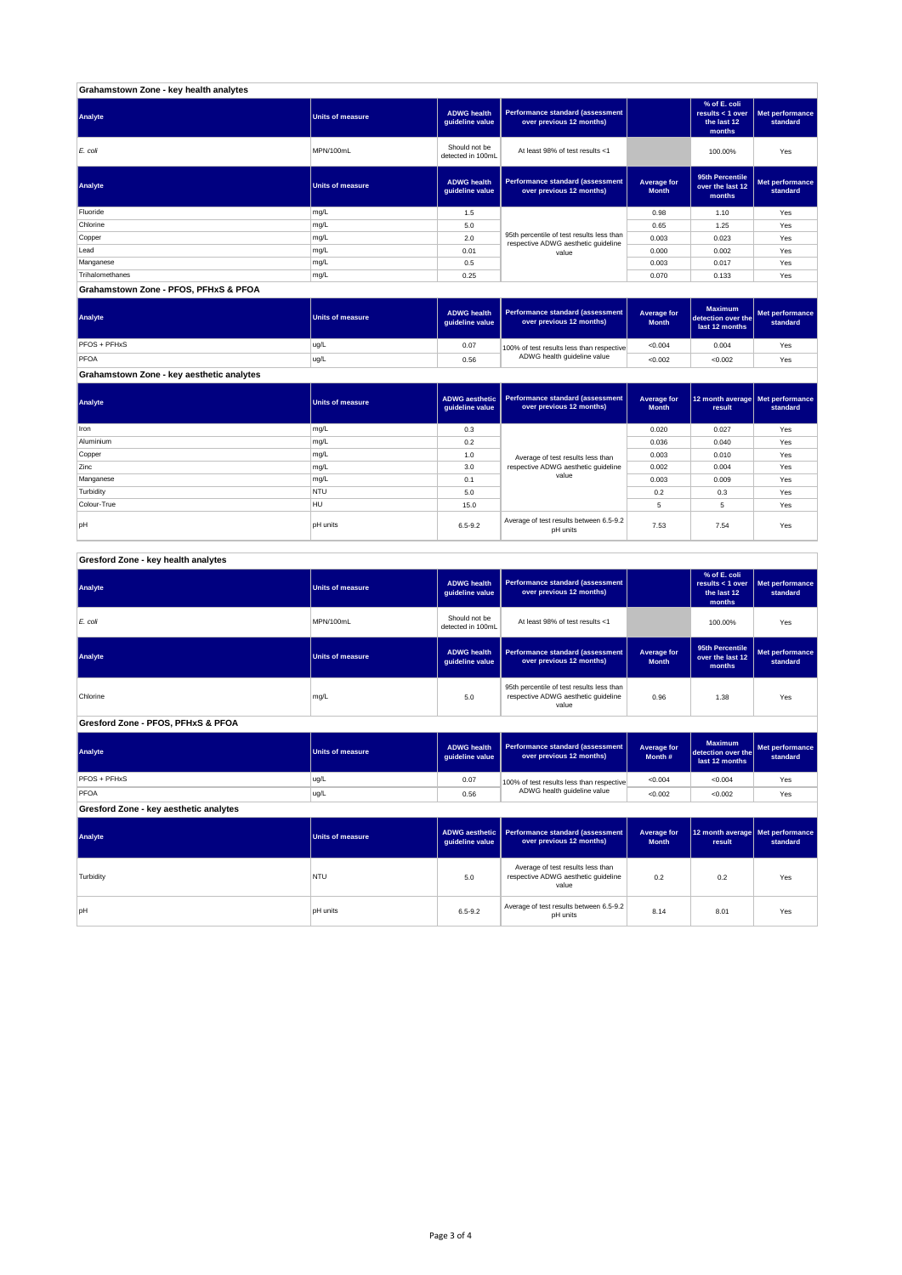| Grahamstown Zone - key health analytes |                         |                                       |                                                                                  |                             |                                                           |                             |
|----------------------------------------|-------------------------|---------------------------------------|----------------------------------------------------------------------------------|-----------------------------|-----------------------------------------------------------|-----------------------------|
| Analyte                                | <b>Units of measure</b> | <b>ADWG health</b><br>guideline value | Performance standard (assessment<br>over previous 12 months)                     |                             | % of E. coli<br>results < 1 over<br>the last 12<br>months | Met performance<br>standard |
| E. coli                                | MPN/100mL               | Should not be<br>detected in 100mL    | At least 98% of test results <1                                                  |                             | 100.00%                                                   | Yes                         |
| Analyte                                | <b>Units of measure</b> | <b>ADWG health</b><br>guideline value | Performance standard (assessment<br>over previous 12 months)                     | Average for<br><b>Month</b> | 95th Percentile<br>over the last 12<br>months             | Met performance<br>standard |
| Fluoride                               | mg/L                    | 1.5                                   |                                                                                  | 0.98                        | 1.10                                                      | Yes                         |
| Chlorine                               | mg/L                    | 5.0                                   |                                                                                  | 0.65                        | 1.25                                                      | Yes                         |
| Copper                                 | mg/L                    | 2.0                                   | 95th percentile of test results less than<br>respective ADWG aesthetic quideline | 0.003                       | 0.023                                                     | Yes                         |
| Lead                                   | mg/L                    | 0.01                                  | value                                                                            | 0.000                       | 0.002                                                     | Yes                         |
| Manganese                              | mg/L                    | 0.5                                   |                                                                                  | 0.003                       | 0.017                                                     | Yes                         |
| Trihalomethanes                        | mg/L                    | 0.25                                  |                                                                                  | 0.070                       | 0.133                                                     | Yes                         |
| Grahamstown Zone - PFOS, PFHxS & PFOA  |                         |                                       |                                                                                  |                             |                                                           |                             |

| Analyte      | Units of measure | <b>ADWG health</b><br>quideline value | Performance standard (assessment<br>over previous 12 months) | Average for<br><b>Month</b> | <b>Maximum</b><br>detection over the<br>last 12 months | <b>Met performance</b><br>standard |
|--------------|------------------|---------------------------------------|--------------------------------------------------------------|-----------------------------|--------------------------------------------------------|------------------------------------|
| PFOS + PFHxS | ug/L             | 0.07                                  | 100% of test results less than respective                    | < 0.004                     | 0.004                                                  | Yes                                |
| PFOA         | ug/L             | 0.56                                  | ADWG health guideline value                                  | < 0.002                     | < 0.002                                                | Yes                                |

**Grahamstown Zone - key aesthetic analytes**

| Analyte     | Units of measure | guideline value | ADWG aesthetic   Performance standard (assessment<br>over previous 12 months)   | Average for<br><b>Month</b> | 12 month average   Met performance<br>result | standard |
|-------------|------------------|-----------------|---------------------------------------------------------------------------------|-----------------------------|----------------------------------------------|----------|
| Iron        | mg/L             | 0.3             |                                                                                 | 0.020                       | 0.027                                        | Yes      |
| Aluminium   | mg/L             | 0.2             |                                                                                 | 0.036                       | 0.040                                        | Yes      |
| Copper      | mg/L             | 1.0             | Average of test results less than<br>respective ADWG aesthetic quideline<br>3.0 |                             | 0.010                                        | Yes      |
| Zinc        | mg/L             |                 |                                                                                 |                             | 0.004                                        | Yes      |
| Manganese   | mg/L             | 0.1             | value                                                                           | 0.003                       | 0.009                                        | Yes      |
| Turbidity   | <b>NTU</b>       | 5.0             |                                                                                 | 0.2                         | 0.3                                          | Yes      |
| Colour-True | <b>HU</b>        | 15.0            |                                                                                 | 5                           | 5                                            | Yes      |
| pH          | <b>pH</b> units  | $6.5 - 9.2$     | Average of test results between 6.5-9.2<br>pH units                             | 7.53                        | 7.54                                         | Yes      |

| Gresford Zone - key health analytes |  |
|-------------------------------------|--|
|                                     |  |

| Analyte                                | <b>Units of measure</b> | <b>ADWG</b> health<br>guideline value                                                            | Performance standard (assessment<br>over previous 12 months)                      |                                    | % of E. coli<br>results < $1$ over<br>the last 12<br>months | Met performance<br>standard |
|----------------------------------------|-------------------------|--------------------------------------------------------------------------------------------------|-----------------------------------------------------------------------------------|------------------------------------|-------------------------------------------------------------|-----------------------------|
| $E$ . coli                             | MPN/100mL               | Should not be<br>detected in 100mL                                                               | At least 98% of test results <1                                                   |                                    | 100.00%                                                     | Yes                         |
| Analyte                                | <b>Units of measure</b> | <b>ADWG</b> health<br>guideline value                                                            | Performance standard (assessment<br>over previous 12 months)                      | <b>Average for</b><br><b>Month</b> |                                                             | Met performance<br>standard |
| Chlorine                               | mg/L                    | 95th percentile of test results less than<br>respective ADWG aesthetic quideline<br>5.0<br>value |                                                                                   | 0.96                               | 1.38                                                        | Yes                         |
| Gresford Zone - PFOS, PFHxS & PFOA     |                         |                                                                                                  |                                                                                   |                                    |                                                             |                             |
| Analyte                                | <b>Units of measure</b> | <b>ADWG</b> health<br>guideline value                                                            | Performance standard (assessment<br>over previous 12 months)                      | Average for<br>Month #             | <b>Maximum</b><br>detection over the<br>last 12 months      | Met performance<br>standard |
| PFOS + PFHxS                           | ug/L                    | 0.07                                                                                             | 100% of test results less than respective                                         | < 0.004                            | < 0.004                                                     | Yes                         |
| PFOA                                   | ug/L                    | 0.56                                                                                             | ADWG health guideline value                                                       | < 0.002                            | < 0.002                                                     | Yes                         |
| Gresford Zone - key aesthetic analytes |                         |                                                                                                  |                                                                                   |                                    |                                                             |                             |
| Analyte                                | <b>Units of measure</b> | <b>ADWG</b> aesthetic<br>guideline value                                                         | Performance standard (assessment<br>over previous 12 months)                      | <b>Average for</b><br><b>Month</b> | 12 month average<br>result                                  | Met performance<br>standard |
| Turbidity                              | <b>NTU</b>              | 5.0                                                                                              | Average of test results less than<br>respective ADWG aesthetic quideline<br>value |                                    | 0.2                                                         | Yes                         |
| <b>bH</b>                              | <b>pH</b> units         | Average of test results between 6.5-9.2<br>6.5-9.2<br>pH units                                   |                                                                                   | 8.14                               | 8.01                                                        | Yes                         |